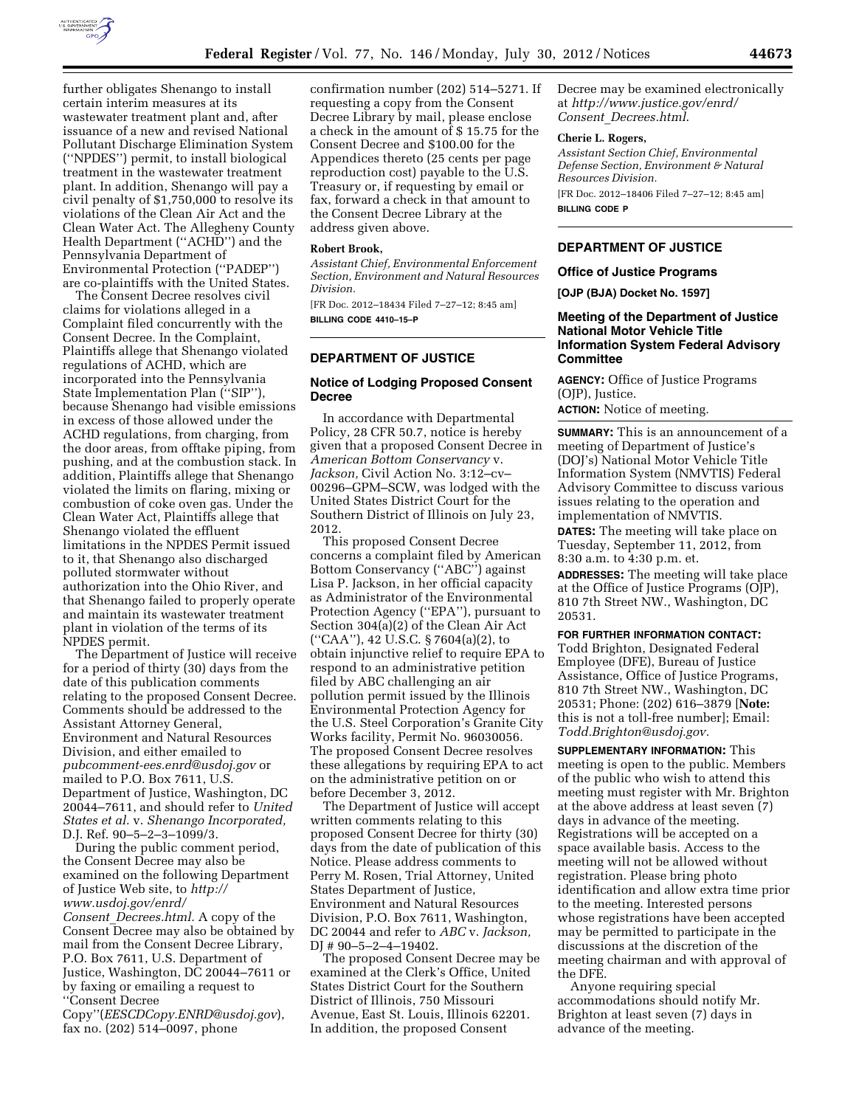

further obligates Shenango to install certain interim measures at its wastewater treatment plant and, after issuance of a new and revised National Pollutant Discharge Elimination System (''NPDES'') permit, to install biological treatment in the wastewater treatment plant. In addition, Shenango will pay a civil penalty of \$1,750,000 to resolve its violations of the Clean Air Act and the Clean Water Act. The Allegheny County Health Department (''ACHD'') and the Pennsylvania Department of Environmental Protection (''PADEP'') are co-plaintiffs with the United States.

The Consent Decree resolves civil claims for violations alleged in a Complaint filed concurrently with the Consent Decree. In the Complaint, Plaintiffs allege that Shenango violated regulations of ACHD, which are incorporated into the Pennsylvania State Implementation Plan ("SIP"), because Shenango had visible emissions in excess of those allowed under the ACHD regulations, from charging, from the door areas, from offtake piping, from pushing, and at the combustion stack. In addition, Plaintiffs allege that Shenango violated the limits on flaring, mixing or combustion of coke oven gas. Under the Clean Water Act, Plaintiffs allege that Shenango violated the effluent limitations in the NPDES Permit issued to it, that Shenango also discharged polluted stormwater without authorization into the Ohio River, and that Shenango failed to properly operate and maintain its wastewater treatment plant in violation of the terms of its NPDES permit.

The Department of Justice will receive for a period of thirty (30) days from the date of this publication comments relating to the proposed Consent Decree. Comments should be addressed to the Assistant Attorney General, Environment and Natural Resources Division, and either emailed to *[pubcomment-ees.enrd@usdoj.gov](mailto:pubcomment-ees.enrd@usdoj.gov)* or mailed to P.O. Box 7611, U.S. Department of Justice, Washington, DC 20044–7611, and should refer to *United States et al.* v. *Shenango Incorporated,*  D.J. Ref. 90–5–2–3–1099/3.

During the public comment period, the Consent Decree may also be examined on the following Department of Justice Web site, to *[http://](http://www.usdoj.gov/enrd/Consent_Decrees.html)  [www.usdoj.gov/enrd/](http://www.usdoj.gov/enrd/Consent_Decrees.html)* 

*Consent*\_*[Decrees.html.](http://www.usdoj.gov/enrd/Consent_Decrees.html)* A copy of the Consent Decree may also be obtained by mail from the Consent Decree Library, P.O. Box 7611, U.S. Department of Justice, Washington, DC 20044–7611 or by faxing or emailing a request to ''Consent Decree

Copy''(*[EESCDCopy.ENRD@usdoj.gov](mailto:EESCDCopy.ENRD@usdoj.gov)*), fax no. (202) 514–0097, phone

confirmation number (202) 514–5271. If requesting a copy from the Consent Decree Library by mail, please enclose a check in the amount of \$ 15.75 for the Consent Decree and \$100.00 for the Appendices thereto (25 cents per page reproduction cost) payable to the U.S. Treasury or, if requesting by email or fax, forward a check in that amount to the Consent Decree Library at the address given above.

### **Robert Brook,**

*Assistant Chief, Environmental Enforcement Section, Environment and Natural Resources Division.* 

[FR Doc. 2012–18434 Filed 7–27–12; 8:45 am] **BILLING CODE 4410–15–P** 

## **DEPARTMENT OF JUSTICE**

# **Notice of Lodging Proposed Consent Decree**

In accordance with Departmental Policy, 28 CFR 50.7, notice is hereby given that a proposed Consent Decree in *American Bottom Conservancy* v. *Jackson,* Civil Action No. 3:12–cv– 00296–GPM–SCW, was lodged with the United States District Court for the Southern District of Illinois on July 23, 2012.

This proposed Consent Decree concerns a complaint filed by American Bottom Conservancy (''ABC'') against Lisa P. Jackson, in her official capacity as Administrator of the Environmental Protection Agency (''EPA''), pursuant to Section 304(a)(2) of the Clean Air Act (''CAA''), 42 U.S.C. § 7604(a)(2), to obtain injunctive relief to require EPA to respond to an administrative petition filed by ABC challenging an air pollution permit issued by the Illinois Environmental Protection Agency for the U.S. Steel Corporation's Granite City Works facility, Permit No. 96030056. The proposed Consent Decree resolves these allegations by requiring EPA to act on the administrative petition on or before December 3, 2012.

The Department of Justice will accept written comments relating to this proposed Consent Decree for thirty (30) days from the date of publication of this Notice. Please address comments to Perry M. Rosen, Trial Attorney, United States Department of Justice, Environment and Natural Resources Division, P.O. Box 7611, Washington, DC 20044 and refer to *ABC* v. *Jackson,*  DJ # 90–5–2–4–19402.

The proposed Consent Decree may be examined at the Clerk's Office, United States District Court for the Southern District of Illinois, 750 Missouri Avenue, East St. Louis, Illinois 62201. In addition, the proposed Consent

Decree may be examined electronically at *[http://www.justice.gov/enrd/](http://www.justice.gov/enrd/Consent_Decrees.html)  Consent*\_*[Decrees.html](http://www.justice.gov/enrd/Consent_Decrees.html)*.

### **Cherie L. Rogers,**

*Assistant Section Chief, Environmental Defense Section, Environment & Natural Resources Division.*  [FR Doc. 2012–18406 Filed 7–27–12; 8:45 am] **BILLING CODE P** 

## **DEPARTMENT OF JUSTICE**

#### **Office of Justice Programs**

**[OJP (BJA) Docket No. 1597]** 

### **Meeting of the Department of Justice National Motor Vehicle Title Information System Federal Advisory Committee**

**AGENCY:** Office of Justice Programs (OJP), Justice. **ACTION:** Notice of meeting.

**SUMMARY:** This is an announcement of a meeting of Department of Justice's (DOJ's) National Motor Vehicle Title Information System (NMVTIS) Federal Advisory Committee to discuss various issues relating to the operation and implementation of NMVTIS. **DATES:** The meeting will take place on Tuesday, September 11, 2012, from

8:30 a.m. to 4:30 p.m. et. **ADDRESSES:** The meeting will take place at the Office of Justice Programs (OJP), 810 7th Street NW., Washington, DC 20531.

# **FOR FURTHER INFORMATION CONTACT:**  Todd Brighton, Designated Federal

Employee (DFE), Bureau of Justice Assistance, Office of Justice Programs, 810 7th Street NW., Washington, DC 20531; Phone: (202) 616–3879 [**Note:**  this is not a toll-free number]; Email: *[Todd.Brighton@usdoj.gov.](mailto:Todd.Brighton@usdoj.gov)* 

**SUPPLEMENTARY INFORMATION:** This meeting is open to the public. Members of the public who wish to attend this meeting must register with Mr. Brighton at the above address at least seven (7) days in advance of the meeting. Registrations will be accepted on a space available basis. Access to the meeting will not be allowed without registration. Please bring photo identification and allow extra time prior to the meeting. Interested persons whose registrations have been accepted may be permitted to participate in the discussions at the discretion of the meeting chairman and with approval of the DFE.

Anyone requiring special accommodations should notify Mr. Brighton at least seven (7) days in advance of the meeting.